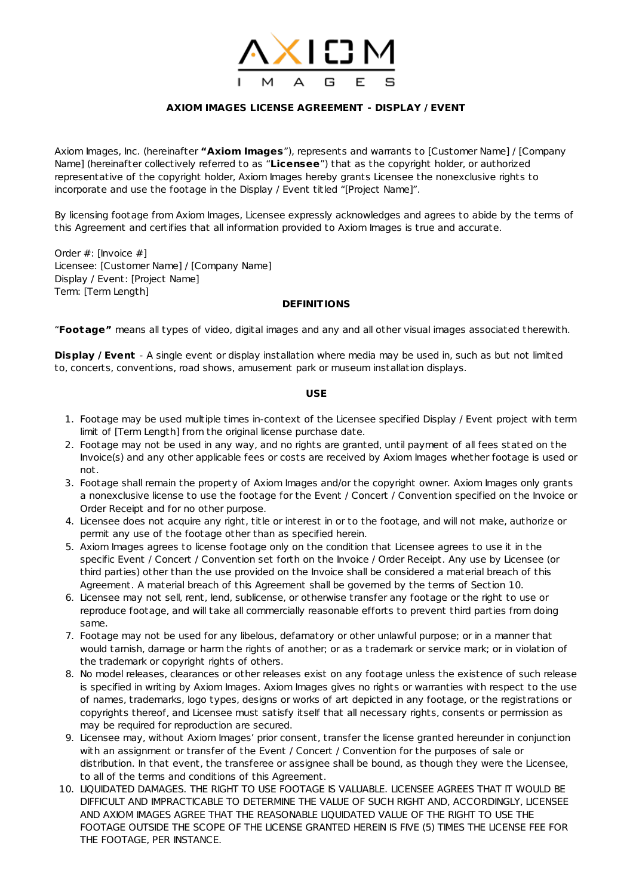

# **AXIOM IMAGES LICENSE AGREEMENT - DISPLAY / EVENT**

Axiom Images, Inc. (hereinafter **"Axiom Images**"), represents and warrants to [Customer Name] / [Company Name] (hereinafter collectively referred to as "**Licensee**") that as the copyright holder, or authorized representative of the copyright holder, Axiom Images hereby grants Licensee the nonexclusive rights to incorporate and use the footage in the Display / Event titled "[Project Name]".

By licensing footage from Axiom Images, Licensee expressly acknowledges and agrees to abide by the terms of this Agreement and certifies that all information provided to Axiom Images is true and accurate.

Order #: [Invoice #] Licensee: [Customer Name] / [Company Name] Display / Event: [Project Name] Term: [Term Length]

#### **DEFINITIONS**

"**Footage"** means all types of video, digital images and any and all other visual images associated therewith.

**Display / Event** - A single event or display installation where media may be used in, such as but not limited to, concerts, conventions, road shows, amusement park or museum installation displays.

### **USE**

- 1. Footage may be used multiple times in-context of the Licensee specified Display / Event project with term limit of [Term Length] from the original license purchase date.
- 2. Footage may not be used in any way, and no rights are granted, until payment of all fees stated on the Invoice(s) and any other applicable fees or costs are received by Axiom Images whether footage is used or not.
- 3. Footage shall remain the property of Axiom Images and/or the copyright owner. Axiom Images only grants a nonexclusive license to use the footage for the Event / Concert / Convention specified on the Invoice or Order Receipt and for no other purpose.
- 4. Licensee does not acquire any right, title or interest in or to the footage, and will not make, authorize or permit any use of the footage other than as specified herein.
- 5. Axiom Images agrees to license footage only on the condition that Licensee agrees to use it in the specific Event / Concert / Convention set forth on the Invoice / Order Receipt. Any use by Licensee (or third parties) other than the use provided on the Invoice shall be considered a material breach of this Agreement. A material breach of this Agreement shall be governed by the terms of Section 10.
- 6. Licensee may not sell, rent, lend, sublicense, or otherwise transfer any footage or the right to use or reproduce footage, and will take all commercially reasonable efforts to prevent third parties from doing same.
- 7. Footage may not be used for any libelous, defamatory or other unlawful purpose; or in a manner that would tarnish, damage or harm the rights of another; or as a trademark or service mark; or in violation of the trademark or copyright rights of others.
- 8. No model releases, clearances or other releases exist on any footage unless the existence of such release is specified in writing by Axiom Images. Axiom Images gives no rights or warranties with respect to the use of names, trademarks, logo types, designs or works of art depicted in any footage, or the registrations or copyrights thereof, and Licensee must satisfy itself that all necessary rights, consents or permission as may be required for reproduction are secured.
- 9. Licensee may, without Axiom Images' prior consent, transfer the license granted hereunder in conjunction with an assignment or transfer of the Event / Concert / Convention for the purposes of sale or distribution. In that event, the transferee or assignee shall be bound, as though they were the Licensee, to all of the terms and conditions of this Agreement.
- 10. LIQUIDATED DAMAGES. THE RIGHT TO USE FOOTAGE IS VALUABLE. LICENSEE AGREES THAT IT WOULD BE DIFFICULT AND IMPRACTICABLE TO DETERMINE THE VALUE OF SUCH RIGHT AND, ACCORDINGLY, LICENSEE AND AXIOM IMAGES AGREE THAT THE REASONABLE LIQUIDATED VALUE OF THE RIGHT TO USE THE FOOTAGE OUTSIDE THE SCOPE OF THE LICENSE GRANTED HEREIN IS FIVE (5) TIMES THE LICENSE FEE FOR THE FOOTAGE, PER INSTANCE.